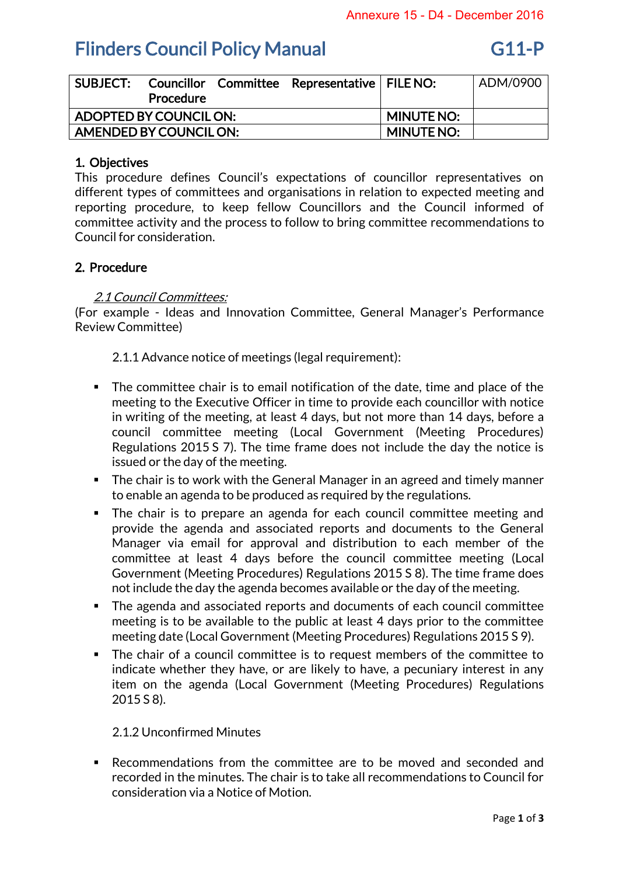## **Flinders Council Policy Manual G11-P**

| <b>SUBJECT:</b>        | <b>Procedure</b> |  | Councillor Committee Representative   FILE NO: |                   | ADM/0900 |
|------------------------|------------------|--|------------------------------------------------|-------------------|----------|
| ADOPTED BY COUNCIL ON: |                  |  |                                                | <b>MINUTE NO:</b> |          |
| AMENDED BY COUNCIL ON: |                  |  |                                                | <b>MINUTE NO:</b> |          |

## 1. Objectives

This procedure defines Council's expectations of councillor representatives on different types of committees and organisations in relation to expected meeting and reporting procedure, to keep fellow Councillors and the Council informed of committee activity and the process to follow to bring committee recommendations to Council for consideration.

### 2. Procedure

### 2.1 Council Committees:

(For example - Ideas and Innovation Committee, General Manager's Performance Review Committee)

2.1.1 Advance notice of meetings (legal requirement):

- The committee chair is to email notification of the date, time and place of the meeting to the Executive Officer in time to provide each councillor with notice in writing of the meeting, at least 4 days, but not more than 14 days, before a council committee meeting (Local Government (Meeting Procedures) Regulations 2015 S 7). The time frame does not include the day the notice is issued or the day of the meeting.
- The chair is to work with the General Manager in an agreed and timely manner to enable an agenda to be produced as required by the regulations.
- The chair is to prepare an agenda for each council committee meeting and provide the agenda and associated reports and documents to the General Manager via email for approval and distribution to each member of the committee at least 4 days before the council committee meeting (Local Government (Meeting Procedures) Regulations 2015 S 8). The time frame does not include the day the agenda becomes available or the day of the meeting.
- The agenda and associated reports and documents of each council committee meeting is to be available to the public at least 4 days prior to the committee meeting date (Local Government (Meeting Procedures) Regulations 2015 S 9).
- The chair of a council committee is to request members of the committee to indicate whether they have, or are likely to have, a pecuniary interest in any item on the agenda (Local Government (Meeting Procedures) Regulations 2015 S 8).

### 2.1.2 Unconfirmed Minutes

 Recommendations from the committee are to be moved and seconded and recorded in the minutes. The chair is to take all recommendations to Council for consideration via a Notice of Motion.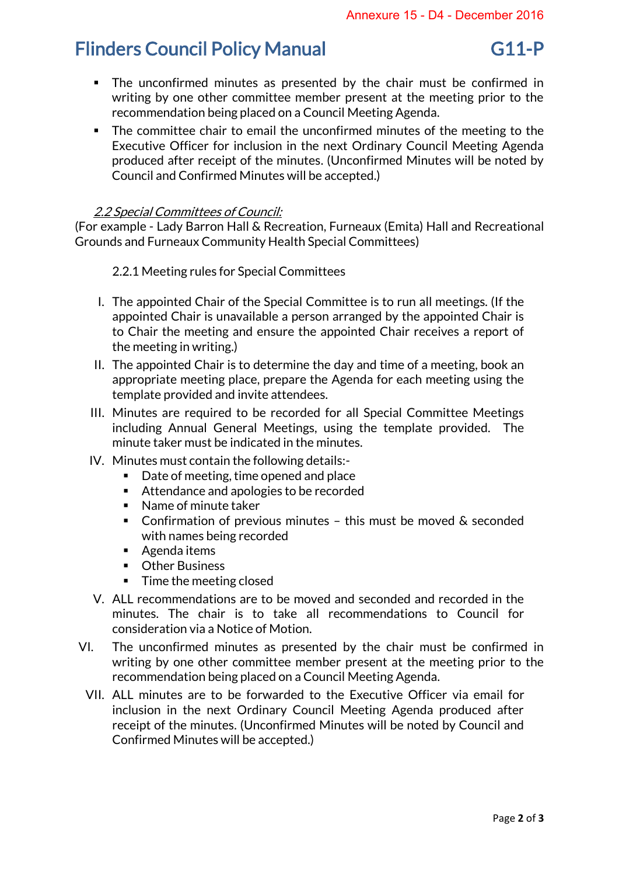## Flinders Council Policy Manual G11-P

- The unconfirmed minutes as presented by the chair must be confirmed in writing by one other committee member present at the meeting prior to the recommendation being placed on a Council Meeting Agenda.
- The committee chair to email the unconfirmed minutes of the meeting to the Executive Officer for inclusion in the next Ordinary Council Meeting Agenda produced after receipt of the minutes. (Unconfirmed Minutes will be noted by Council and Confirmed Minutes will be accepted.)

## 2.2 Special Committees of Council:

(For example - Lady Barron Hall & Recreation, Furneaux (Emita) Hall and Recreational Grounds and Furneaux Community Health Special Committees)

2.2.1 Meeting rules for Special Committees

- I. The appointed Chair of the Special Committee is to run all meetings. (If the appointed Chair is unavailable a person arranged by the appointed Chair is to Chair the meeting and ensure the appointed Chair receives a report of the meeting in writing.)
- II. The appointed Chair is to determine the day and time of a meeting, book an appropriate meeting place, prepare the Agenda for each meeting using the template provided and invite attendees.
- III. Minutes are required to be recorded for all Special Committee Meetings including Annual General Meetings, using the template provided. The minute taker must be indicated in the minutes.
- IV. Minutes must contain the following details:-
	- Date of meeting, time opened and place
	- Attendance and apologies to be recorded
	- Name of minute taker
	- Confirmation of previous minutes this must be moved & seconded with names being recorded
	- Agenda items
	- **•** Other Business
	- $\blacksquare$  Time the meeting closed
- V. ALL recommendations are to be moved and seconded and recorded in the minutes. The chair is to take all recommendations to Council for consideration via a Notice of Motion.
- VI. The unconfirmed minutes as presented by the chair must be confirmed in writing by one other committee member present at the meeting prior to the recommendation being placed on a Council Meeting Agenda.
	- VII. ALL minutes are to be forwarded to the Executive Officer via email for inclusion in the next Ordinary Council Meeting Agenda produced after receipt of the minutes. (Unconfirmed Minutes will be noted by Council and Confirmed Minutes will be accepted.)